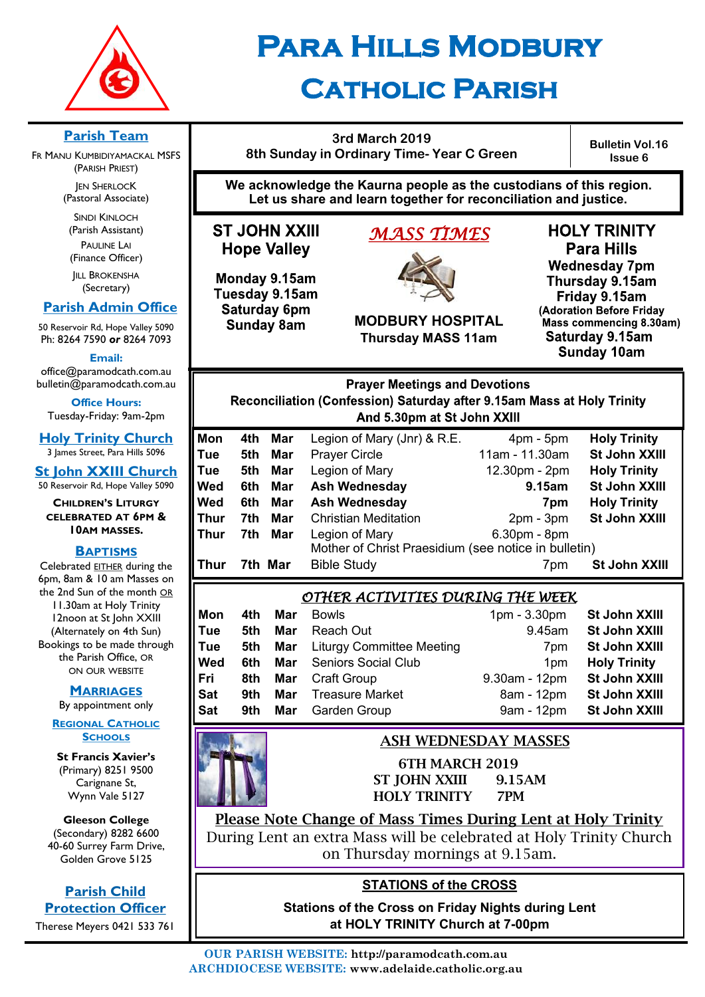

# **Para Hills Modbury Catholic Parish**

## **3rd March 2019 8th Sunday in Ordinary Time- Year C Green**

**Bulletin Vol.16 Issue 6**

**We acknowledge the Kaurna people as the custodians of this region. Let us share and learn together for reconciliation and justice.**

# **ST JOHN XXIII Hope Valley**

Monday 9.15am Tuesday 9.15am Saturday 6pm **Sunday 8am** 

# *MASS TIMES*



**MODBURY HOSPITAL Thursday MASS 11am**

**HOLY TRINITY Para Hills Wednesday 7pm** Thursday 9.15am Friday 9.15am (Adoration Before Friday Mass commencing 8.30am) Saturday 9.15am **Sunday 10am** 

**Prayer Meetings and Devotions** Reconciliation (Confession) Saturday after 9.15am Mass at Holy Trinity And 5.30pm at St John XXIII

| Mon  | 4th | Mar     | Legion of Mary (Jnr) & R.E.                          |                | <b>Holy Trinity</b> |
|------|-----|---------|------------------------------------------------------|----------------|---------------------|
|      |     |         |                                                      | $4pm - 5pm$    |                     |
| Tue  | 5th | Mar     | <b>Prayer Circle</b>                                 | 11am - 11.30am | St John XXIII       |
| Tue  | 5th | Mar     | Legion of Mary                                       | 12.30pm - 2pm  | <b>Holy Trinity</b> |
| Wed  | 6th | Mar     | <b>Ash Wednesday</b>                                 | 9.15am         | St John XXIII       |
| Wed  | 6th | Mar     | <b>Ash Wednesday</b>                                 | 7pm            | <b>Holy Trinity</b> |
| Thur | 7th | Mar     | <b>Christian Meditation</b>                          | $2pm - 3pm$    | St John XXIII       |
| Thur | 7th | Mar     | Legion of Mary                                       | 6.30pm - 8pm   |                     |
|      |     |         | Mother of Christ Praesidium (see notice in bulletin) |                |                     |
| Thur |     | 7th Mar | <b>Bible Study</b>                                   | 7pm            | St John XXIII       |

# *OTHER ACTIVITIES DURING THE WEEK*

| Mon<br>Tue<br>Tue<br>Wed<br>Fri<br>Sat | 4th<br>5th<br>5th<br>6th.<br>8th<br>9th. | Mar<br>Mar | <b>Bowls</b><br>Reach Out<br><b>Mar</b> Liturgy Committee Meeting<br>Mar Seniors Social Club<br><b>Mar</b> Craft Group<br><b>Mar</b> Treasure Market | $1pm - 3.30pm$<br>9.45am<br>7 <sub>pm</sub><br>1 <sub>pm</sub><br>9.30am - 12pm<br>8am - 12pm | St John XXIII<br>St John XXIII<br>St John XXIII<br><b>Holy Trinity</b><br>St John XXIII<br>St John XXIII |
|----------------------------------------|------------------------------------------|------------|------------------------------------------------------------------------------------------------------------------------------------------------------|-----------------------------------------------------------------------------------------------|----------------------------------------------------------------------------------------------------------|
| Sat                                    | 9th                                      |            | <b>Mar</b> Garden Group                                                                                                                              | 9am - 12pm                                                                                    | <b>St John XXIII</b>                                                                                     |

# ASH WEDNESDAY MASSES

6TH MARCH 2019 ST JOHN XXIII 9.15AM HOLY TRINITY 7PM

Please Note Change of Mass Times During Lent at Holy Trinity During Lent an extra Mass will be celebrated at Holy Trinity Church on Thursday mornings at 9.15am.

# **STATIONS of the CROSS**

**Stations of the Cross on Friday Nights during Lent at HOLY TRINITY Church at 7-00pm** 

# **Parish Team**

FR MANU KUMBIDIYAMACKAL MSFS (PARISH PRIEST) **JEN SHERLOCK** (Pastoral Associate)

SINDI KINLOCH (Parish Assistant) PAULINE LAI (Finance Officer)

**IILL BROKENSHA** (Secretary)

# **Parish Admin Office**

50 Reservoir Rd, Hope Valley 5090 Ph: 8264 7590 *or* 8264 7093

**Email:** 

office@paramodcath.com.au bulletin@paramodcath.com.au

**Office Hours:**  Tuesday-Friday: 9am-2pm

**Holy Trinity Church** 3 James Street, Para Hills 5096

**St John XXIII Church** 50 Reservoir Rd, Hope Valley 5090

**CHILDREN'S LITURGY CELEBRATED AT 6PM & 10AM MASSES.**

### **BAPTISMS**

Celebrated EITHER during the 6pm, 8am & 10 am Masses on the 2nd Sun of the month OR 11.30am at Holy Trinity 12noon at St John XXIII (Alternately on 4th Sun) Bookings to be made through the Parish Office, OR ON OUR WEBSITE

#### **MARRIAGES**

By appointment only

#### **REGIONAL CATHOLIC SCHOOLS**

**St Francis Xavier's**  (Primary) 8251 9500 Carignane St, Wynn Vale 5127

#### **Gleeson College**  (Secondary) 8282 6600

40-60 Surrey Farm Drive, Golden Grove 5125

**Parish Child Protection Officer**

Therese Meyers 0421 533 761

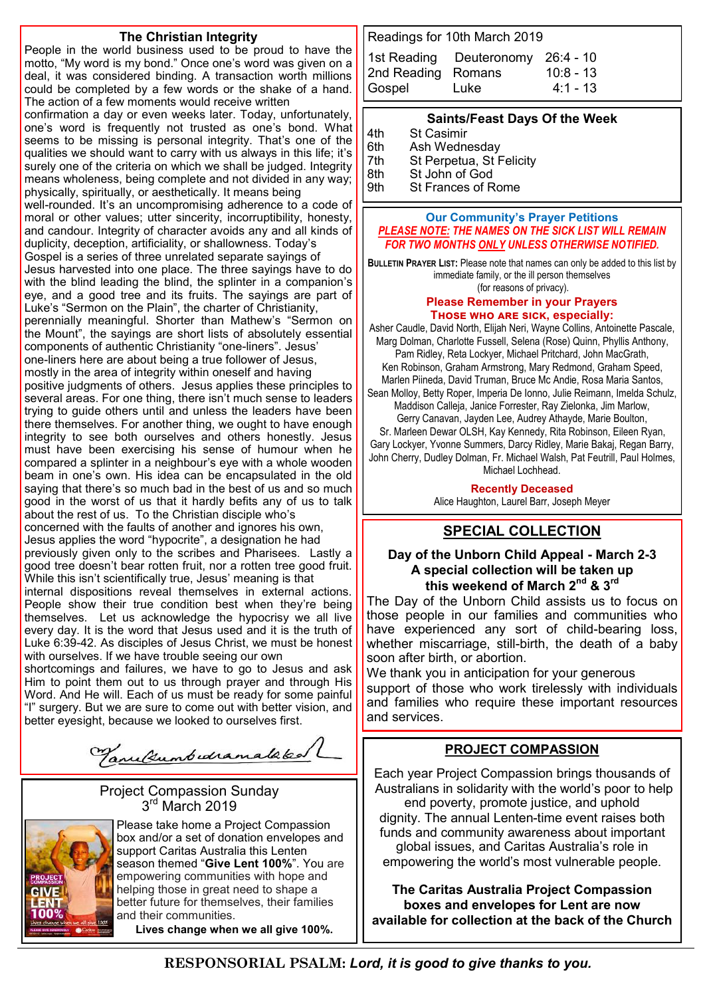#### **The Christian Integrity**

People in the world business used to be proud to have the motto, "My word is my bond." Once one's word was given on a deal, it was considered binding. A transaction worth millions could be completed by a few words or the shake of a hand. The action of a few moments would receive written

confirmation a day or even weeks later. Today, unfortunately, one's word is frequently not trusted as one's bond. What seems to be missing is personal integrity. That's one of the qualities we should want to carry with us always in this life; it's surely one of the criteria on which we shall be judged. Integrity means wholeness, being complete and not divided in any way; physically, spiritually, or aesthetically. It means being well-rounded. It's an uncompromising adherence to a code of moral or other values; utter sincerity, incorruptibility, honesty, and candour. Integrity of character avoids any and all kinds of duplicity, deception, artificiality, or shallowness. Today's Gospel is a series of three unrelated separate sayings of Jesus harvested into one place. The three sayings have to do with the blind leading the blind, the splinter in a companion's eye, and a good tree and its fruits. The sayings are part of Luke's "Sermon on the Plain", the charter of Christianity, perennially meaningful. Shorter than Mathew's "Sermon on the Mount", the sayings are short lists of absolutely essential components of authentic Christianity "one-liners". Jesus' one-liners here are about being a true follower of Jesus, mostly in the area of integrity within oneself and having positive judgments of others. Jesus applies these principles to several areas. For one thing, there isn't much sense to leaders trying to guide others until and unless the leaders have been there themselves. For another thing, we ought to have enough integrity to see both ourselves and others honestly. Jesus must have been exercising his sense of humour when he compared a splinter in a neighbour's eye with a whole wooden beam in one's own. His idea can be encapsulated in the old saying that there's so much bad in the best of us and so much good in the worst of us that it hardly befits any of us to talk about the rest of us. To the Christian disciple who's concerned with the faults of another and ignores his own, Jesus applies the word "hypocrite", a designation he had previously given only to the scribes and Pharisees. Lastly a good tree doesn't bear rotten fruit, nor a rotten tree good fruit. While this isn't scientifically true, Jesus' meaning is that

internal dispositions reveal themselves in external actions. People show their true condition best when they're being themselves. Let us acknowledge the hypocrisy we all live every day. It is the word that Jesus used and it is the truth of Luke 6:39-42. As disciples of Jesus Christ, we must be honest with ourselves. If we have trouble seeing our own

shortcomings and failures, we have to go to Jesus and ask Him to point them out to us through prayer and through His Word. And He will. Each of us must be ready for some painful "I" surgery. But we are sure to come out with better vision, and better eyesight, because we looked to ourselves first.

Varultumbedramataked

Project Compassion Sunday 3 rd March 2019



Please take home a Project Compassion box and/or a set of donation envelopes and support Caritas Australia this Lenten season themed "**Give Lent 100%**". You are empowering communities with hope and helping those in great need to shape a better future for themselves, their families and their communities. **Lives change when we all give 100%.**

Readings for 10th March 2019

|                    | 1st Reading Deuteronomy 26:4 - 10 |             |
|--------------------|-----------------------------------|-------------|
| 2nd Reading Romans |                                   | $10:8 - 13$ |
| Gospel             | <b>Luke</b>                       | $4:1 - 13$  |

#### **Saints/Feast Days Of the Week**

| 4th                    | <b>St Casimir</b>        |
|------------------------|--------------------------|
| 6th                    | Ash Wednesday            |
| 7th                    | St Perpetua, St Felicity |
| $\sim$ $\cdot$ $\cdot$ | $\sim$ $\sim$            |

8th St John of God<br>9th St Frances of R

St Frances of Rome

#### **Our Community's Prayer Petitions**  *PLEASE NOTE: THE NAMES ON THE SICK LIST WILL REMAIN FOR TWO MONTHS ONLY UNLESS OTHERWISE NOTIFIED.*

**BULLETIN PRAYER LIST:** Please note that names can only be added to this list by immediate family, or the ill person themselves (for reasons of privacy).

#### **Please Remember in your Prayers Those who are sick, especially:**

Asher Caudle, David North, Elijah Neri, Wayne Collins, Antoinette Pascale, Marg Dolman, Charlotte Fussell, Selena (Rose) Quinn, Phyllis Anthony, Pam Ridley, Reta Lockyer, Michael Pritchard, John MacGrath, Ken Robinson, Graham Armstrong, Mary Redmond, Graham Speed, Marlen Piineda, David Truman, Bruce Mc Andie, Rosa Maria Santos, Sean Molloy, Betty Roper, Imperia De Ionno, Julie Reimann, Imelda Schulz, Maddison Calleja, Janice Forrester, Ray Zielonka, Jim Marlow, Gerry Canavan, Jayden Lee, Audrey Athayde, Marie Boulton, Sr. Marleen Dewar OLSH, Kay Kennedy, Rita Robinson, Eileen Ryan, Gary Lockyer, Yvonne Summers, Darcy Ridley, Marie Bakaj, Regan Barry, John Cherry, Dudley Dolman, Fr. Michael Walsh, Pat Feutrill, Paul Holmes, Michael Lochhead.

> **Recently Deceased** Alice Haughton, Laurel Barr, Joseph Meyer

### **SPECIAL COLLECTION**

#### **Day of the Unborn Child Appeal - March 2-3 A special collection will be taken up this weekend of March 2nd & 3rd**

The Day of the Unborn Child assists us to focus on those people in our families and communities who have experienced any sort of child-bearing loss, whether miscarriage, still-birth, the death of a baby soon after birth, or abortion.

We thank you in anticipation for your generous support of those who work tirelessly with individuals and families who require these important resources and services.

### **PROJECT COMPASSION**

Each year Project Compassion brings thousands of Australians in solidarity with the world's poor to help end poverty, promote justice, and uphold

dignity. The annual Lenten-time event raises both funds and community awareness about important global issues, and Caritas Australia's role in empowering the world's most vulnerable people.

**The Caritas Australia Project Compassion boxes and envelopes for Lent are now available for collection at the back of the Church**

**RESPONSORIAL PSALM:** *Lord, it is good to give thanks to you.*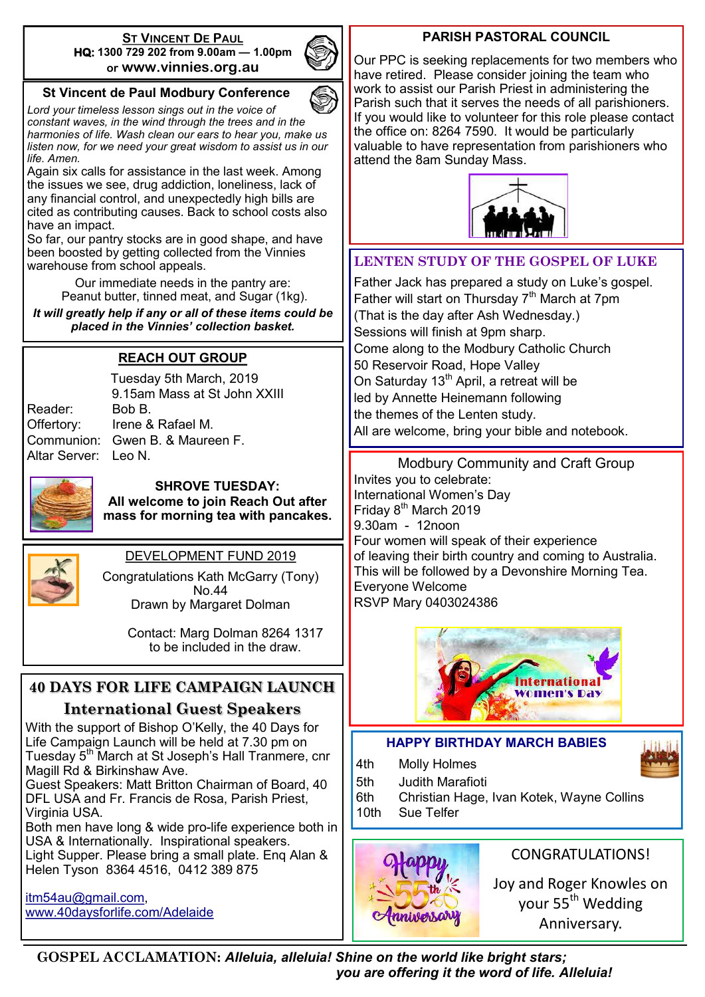#### **ST VINCENT DE PAUL HQ: 1300 729 202 from 9.00am — 1.00pm or www.vinnies.org.au**



# **St Vincent de Paul Modbury Conference**

*Lord your timeless lesson sings out in the voice of constant waves, in the wind through the trees and in the harmonies of life. Wash clean our ears to hear you, make us listen now, for we need your great wisdom to assist us in our life. Amen.*

Again six calls for assistance in the last week. Among the issues we see, drug addiction, loneliness, lack of any financial control, and unexpectedly high bills are cited as contributing causes. Back to school costs also have an impact.

So far, our pantry stocks are in good shape, and have been boosted by getting collected from the Vinnies warehouse from school appeals.

> Our immediate needs in the pantry are: Peanut butter, tinned meat, and Sugar (1kg).

*It will greatly help if any or all of these items could be placed in the Vinnies' collection basket.*

# **REACH OUT GROUP**

Reader: Bob B. Altar Server: Leo N.

Tuesday 5th March, 2019 9.15am Mass at St John XXIII Offertory: Irene & Rafael M. Communion: Gwen B. & Maureen F.



**SHROVE TUESDAY: All welcome to join Reach Out after mass for morning tea with pancakes.**



# DEVELOPMENT FUND 2019

Congratulations Kath McGarry (Tony) No.44 Drawn by Margaret Dolman

> Contact: Marg Dolman 8264 1317 to be included in the draw.

# **40 DAYS FOR LIFE CAMPAIGN LAUNCH International Guest Speakers**

With the support of Bishop O'Kelly, the 40 Days for Life Campaign Launch will be held at 7.30 pm on Tuesday 5<sup>th</sup> March at St Joseph's Hall Tranmere, cnr Magill Rd & Birkinshaw Ave.

Guest Speakers: Matt Britton Chairman of Board, 40 DFL USA and Fr. Francis de Rosa, Parish Priest, Virginia USA.

Both men have long & wide pro-life experience both in USA & Internationally. Inspirational speakers. Light Supper. Please bring a small plate. Enq Alan & Helen Tyson 8364 4516, 0412 389 875

[itm54au@gmail.com,](mailto:itm54au@gmail.com) [www.40daysforlife.com/Adelaide](http://www.40daysforlife.com/Adelaide)

### **PARISH PASTORAL COUNCIL**

Our PPC is seeking replacements for two members who have retired. Please consider joining the team who work to assist our Parish Priest in administering the Parish such that it serves the needs of all parishioners. If you would like to volunteer for this role please contact the office on: 8264 7590. It would be particularly valuable to have representation from parishioners who attend the 8am Sunday Mass.



# **LENTEN STUDY OF THE GOSPEL OF LUKE**

Father Jack has prepared a study on Luke's gospel. Father will start on Thursday 7<sup>th</sup> March at 7pm (That is the day after Ash Wednesday.) Sessions will finish at 9pm sharp. Come along to the Modbury Catholic Church 50 Reservoir Road, Hope Valley On Saturday  $13<sup>th</sup>$  April, a retreat will be led by Annette Heinemann following the themes of the Lenten study. All are welcome, bring your bible and notebook.

Modbury Community and Craft Group Invites you to celebrate: International Women's Day Friday 8<sup>th</sup> March 2019 9.30am - 12noon Four women will speak of their experience of leaving their birth country and coming to Australia. This will be followed by a Devonshire Morning Tea. Everyone Welcome RSVP Mary 0403024386



# **HAPPY BIRTHDAY MARCH BABIES**

4th Molly Holmes

5th Judith Marafioti

6th Christian Hage, Ivan Kotek, Wayne Collins 10th Sue Telfer



# CONGRATULATIONS!

Joy and Roger Knowles on your 55<sup>th</sup> Wedding Anniversary.

**GOSPEL ACCLAMATION:** *Alleluia, alleluia! Shine on the world like bright stars; you are offering it the word of life. Alleluia!*